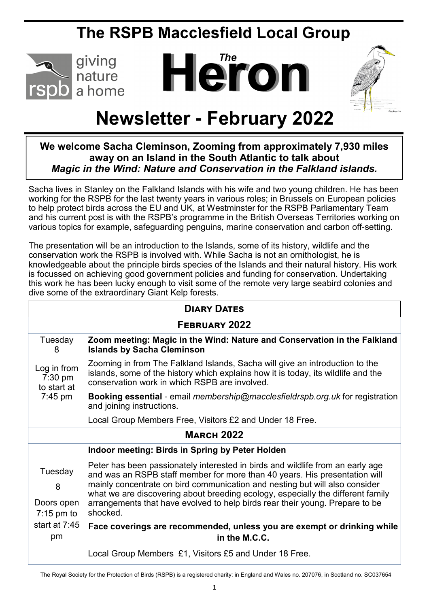# **The RSPB Macclesfield Local Group**



# *The* **Heron**



# **Newsletter - February 2022**

# **We welcome Sacha Cleminson, Zooming from approximately 7,930 miles away on an Island in the South Atlantic to talk about**  *Magic in the Wind: Nature and Conservation in the Falkland islands.*

Sacha lives in Stanley on the Falkland Islands with his wife and two young children. He has been working for the RSPB for the last twenty years in various roles; in Brussels on European policies to help protect birds across the EU and UK, at Westminster for the RSPB Parliamentary Team and his current post is with the RSPB's programme in the British Overseas Territories working on various topics for example, safeguarding penguins, marine conservation and carbon off-setting.

The presentation will be an introduction to the Islands, some of its history, wildlife and the conservation work the RSPB is involved with. While Sacha is not an ornithologist, he is knowledgeable about the principle birds species of the Islands and their natural history. His work is focussed on achieving good government policies and funding for conservation. Undertaking this work he has been lucky enough to visit some of the remote very large seabird colonies and dive some of the extraordinary Giant Kelp forests.

| <b>DIARY DATES</b>                                                  |                                                                                                                                                                                                                                                                                                                                                                                                                            |  |
|---------------------------------------------------------------------|----------------------------------------------------------------------------------------------------------------------------------------------------------------------------------------------------------------------------------------------------------------------------------------------------------------------------------------------------------------------------------------------------------------------------|--|
| FEBRUARY 2022                                                       |                                                                                                                                                                                                                                                                                                                                                                                                                            |  |
| Tuesday<br>8                                                        | Zoom meeting: Magic in the Wind: Nature and Conservation in the Falkland<br><b>Islands by Sacha Cleminson</b>                                                                                                                                                                                                                                                                                                              |  |
| Log in from<br>7:30 pm<br>to start at<br>$7:45 \text{ pm}$          | Zooming in from The Falkland Islands, Sacha will give an introduction to the<br>islands, some of the history which explains how it is today, its wildlife and the<br>conservation work in which RSPB are involved.                                                                                                                                                                                                         |  |
|                                                                     | <b>Booking essential</b> - email <i>membership@macclesfieldrspb.org.uk</i> for registration<br>and joining instructions.                                                                                                                                                                                                                                                                                                   |  |
|                                                                     | Local Group Members Free, Visitors £2 and Under 18 Free.                                                                                                                                                                                                                                                                                                                                                                   |  |
| <b>MARCH 2022</b>                                                   |                                                                                                                                                                                                                                                                                                                                                                                                                            |  |
|                                                                     | Indoor meeting: Birds in Spring by Peter Holden                                                                                                                                                                                                                                                                                                                                                                            |  |
| Tuesday<br>8<br>Doors open<br>$7:15$ pm to<br>start at $7:45$<br>pm | Peter has been passionately interested in birds and wildlife from an early age<br>and was an RSPB staff member for more than 40 years. His presentation will<br>mainly concentrate on bird communication and nesting but will also consider<br>what we are discovering about breeding ecology, especially the different family<br>arrangements that have evolved to help birds rear their young. Prepare to be<br>shocked. |  |
|                                                                     | Face coverings are recommended, unless you are exempt or drinking while<br>in the M.C.C.                                                                                                                                                                                                                                                                                                                                   |  |
|                                                                     | Local Group Members £1, Visitors £5 and Under 18 Free.                                                                                                                                                                                                                                                                                                                                                                     |  |

The Royal Society for the Protection of Birds (RSPB) is a registered charity: in England and Wales no. 207076, in Scotland no. SC037654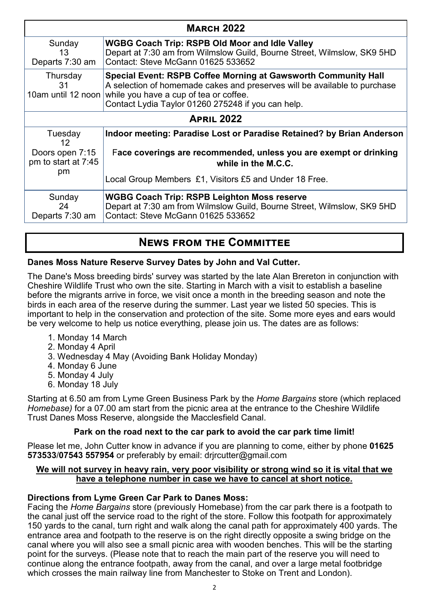| <b>MARCH 2022</b>                            |                                                                                                                                                                                                                                                                       |  |
|----------------------------------------------|-----------------------------------------------------------------------------------------------------------------------------------------------------------------------------------------------------------------------------------------------------------------------|--|
| Sunday<br>13<br>Departs 7:30 am              | <b>WGBG Coach Trip: RSPB Old Moor and Idle Valley</b><br>Depart at 7:30 am from Wilmslow Guild, Bourne Street, Wilmslow, SK9 5HD<br>Contact: Steve McGann 01625 533652                                                                                                |  |
| Thursday<br>31                               | <b>Special Event: RSPB Coffee Morning at Gawsworth Community Hall</b><br>A selection of homemade cakes and preserves will be available to purchase<br>10am until 12 noon while you have a cup of tea or coffee.<br>Contact Lydia Taylor 01260 275248 if you can help. |  |
| <b>APRIL 2022</b>                            |                                                                                                                                                                                                                                                                       |  |
| Tuesday<br>12                                | Indoor meeting: Paradise Lost or Paradise Retained? by Brian Anderson                                                                                                                                                                                                 |  |
| Doors open 7:15<br>pm to start at 7:45<br>pm | Face coverings are recommended, unless you are exempt or drinking<br>while in the M.C.C.                                                                                                                                                                              |  |
|                                              | Local Group Members £1, Visitors £5 and Under 18 Free.                                                                                                                                                                                                                |  |
| Sunday<br>24<br>Departs 7:30 am              | <b>WGBG Coach Trip: RSPB Leighton Moss reserve</b><br>Depart at 7:30 am from Wilmslow Guild, Bourne Street, Wilmslow, SK9 5HD<br>Contact: Steve McGann 01625 533652                                                                                                   |  |

# **NEWS FROM THE COMMITTEE**

#### **Danes Moss Nature Reserve Survey Dates by John and Val Cutter.**

The Dane's Moss breeding birds' survey was started by the late Alan Brereton in conjunction with Cheshire Wildlife Trust who own the site. Starting in March with a visit to establish a baseline before the migrants arrive in force, we visit once a month in the breeding season and note the birds in each area of the reserve during the summer. Last year we listed 50 species. This is important to help in the conservation and protection of the site. Some more eyes and ears would be very welcome to help us notice everything, please join us. The dates are as follows:

- 1. Monday 14 March
- 2. Monday 4 April
- 3. Wednesday 4 May (Avoiding Bank Holiday Monday)
- 4. Monday 6 June
- 5. Monday 4 July
- 6. Monday 18 July

Starting at 6.50 am from Lyme Green Business Park by the *Home Bargains* store (which replaced *Homebase)* for a 07.00 am start from the picnic area at the entrance to the Cheshire Wildlife Trust Danes Moss Reserve, alongside the Macclesfield Canal.

## **Park on the road next to the car park to avoid the car park time limit!**

Please let me, John Cutter know in advance if you are planning to come, either by phone **01625 573533**/**07543 557954** or preferably by email: drjrcutter@gmail.com

#### **We will not survey in heavy rain, very poor visibility or strong wind so it is vital that we have a telephone number in case we have to cancel at short notice.**

#### **Directions from Lyme Green Car Park to Danes Moss:**

Facing the *Home Bargains* store (previously Homebase) from the car park there is a footpath to the canal just off the service road to the right of the store. Follow this footpath for approximately 150 yards to the canal, turn right and walk along the canal path for approximately 400 yards. The entrance area and footpath to the reserve is on the right directly opposite a swing bridge on the canal where you will also see a small picnic area with wooden benches. This will be the starting point for the surveys. (Please note that to reach the main part of the reserve you will need to continue along the entrance footpath, away from the canal, and over a large metal footbridge which crosses the main railway line from Manchester to Stoke on Trent and London).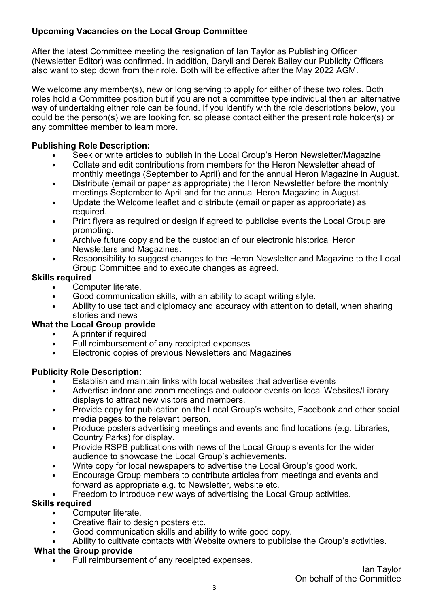## **Upcoming Vacancies on the Local Group Committee**

After the latest Committee meeting the resignation of Ian Taylor as Publishing Officer (Newsletter Editor) was confirmed. In addition, Daryll and Derek Bailey our Publicity Officers also want to step down from their role. Both will be effective after the May 2022 AGM.

We welcome any member(s), new or long serving to apply for either of these two roles. Both roles hold a Committee position but if you are not a committee type individual then an alternative way of undertaking either role can be found. If you identify with the role descriptions below, you could be the person(s) we are looking for, so please contact either the present role holder(s) or any committee member to learn more.

## **Publishing Role Description:**

- Seek or write articles to publish in the Local Group's Heron Newsletter/Magazine
- Collate and edit contributions from members for the Heron Newsletter ahead of monthly meetings (September to April) and for the annual Heron Magazine in August.
- Distribute (email or paper as appropriate) the Heron Newsletter before the monthly meetings September to April and for the annual Heron Magazine in August.
- Update the Welcome leaflet and distribute (email or paper as appropriate) as required.
- Print flyers as required or design if agreed to publicise events the Local Group are promoting.
- Archive future copy and be the custodian of our electronic historical Heron Newsletters and Magazines.
- Responsibility to suggest changes to the Heron Newsletter and Magazine to the Local Group Committee and to execute changes as agreed.

## **Skills required**

- Computer literate.
- Good communication skills, with an ability to adapt writing style.
- Ability to use tact and diplomacy and accuracy with attention to detail, when sharing stories and news

## **What the Local Group provide**

- A printer if required
- Full reimbursement of any receipted expenses
- Electronic copies of previous Newsletters and Magazines

## **Publicity Role Description:**

- Establish and maintain links with local websites that advertise events
- Advertise indoor and zoom meetings and outdoor events on local Websites/Library displays to attract new visitors and members.
- Provide copy for publication on the Local Group's website, Facebook and other social media pages to the relevant person.
- Produce posters advertising meetings and events and find locations (e.g. Libraries, Country Parks) for display.
- Provide RSPB publications with news of the Local Group's events for the wider audience to showcase the Local Group's achievements.
- Write copy for local newspapers to advertise the Local Group's good work.
- Encourage Group members to contribute articles from meetings and events and forward as appropriate e.g. to Newsletter, website etc.
- Freedom to introduce new ways of advertising the Local Group activities.

## **Skills required**

- Computer literate.
- Creative flair to design posters etc.
- Good communication skills and ability to write good copy.
- Ability to cultivate contacts with Website owners to publicise the Group's activities.

#### **What the Group provide**

Full reimbursement of any receipted expenses.